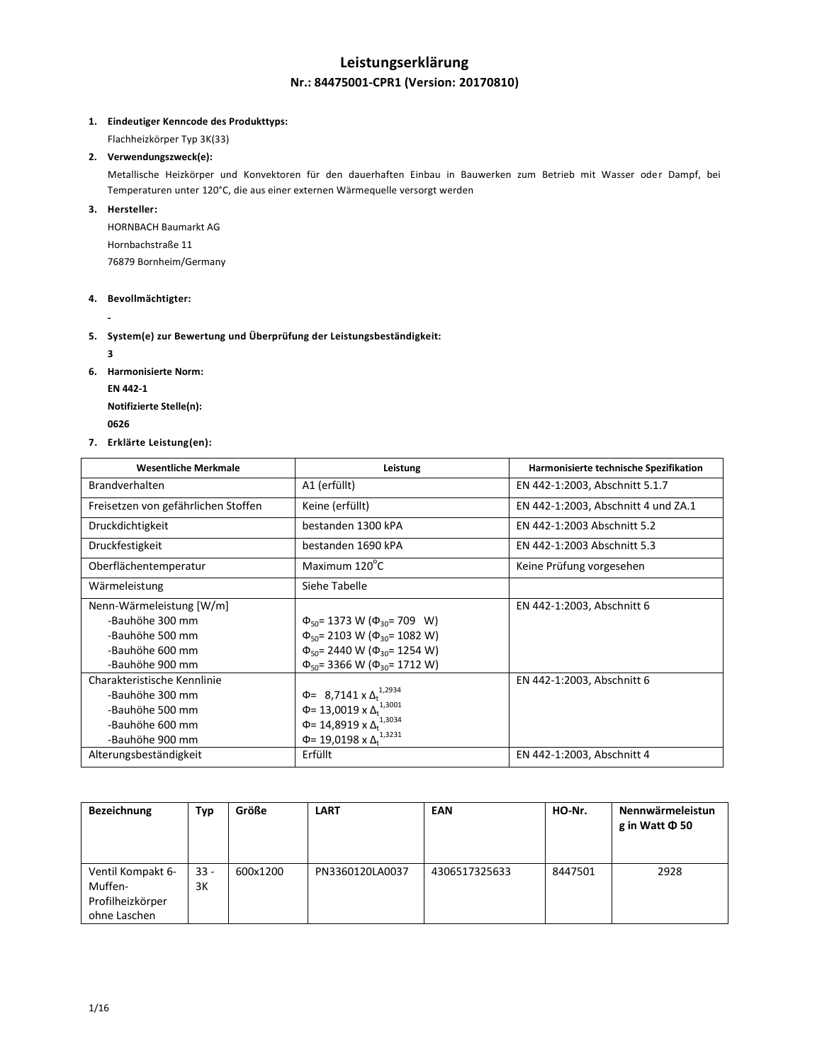# **Leistungserklärung Nr.: 84475001-CPR1 (Version: 20170810)**

## **1. Eindeutiger Kenncode des Produkttyps:**

Flachheizkörper Typ 3K(33)

# **2. Verwendungszweck(e):**

Metallische Heizkörper und Konvektoren für den dauerhaften Einbau in Bauwerken zum Betrieb mit Wasser oder Dampf, bei Temperaturen unter 120°C, die aus einer externen Wärmequelle versorgt werden

### **3. Hersteller:**

HORNBACH Baumarkt AG Hornbachstraße 11 76879 Bornheim/Germany

### **4. Bevollmächtigter:**

**-**

## **5. System(e) zur Bewertung und Überprüfung der Leistungsbeständigkeit:**

**3**

- **6. Harmonisierte Norm:**
	- **EN 442-1**

**Notifizierte Stelle(n):**

- **<sup>0626</sup>**
- **7. Erklärte Leistung(en):**

| <b>Wesentliche Merkmale</b>         | Leistung                                        | Harmonisierte technische Spezifikation |
|-------------------------------------|-------------------------------------------------|----------------------------------------|
| <b>Brandverhalten</b>               | A1 (erfüllt)                                    | EN 442-1:2003, Abschnitt 5.1.7         |
| Freisetzen von gefährlichen Stoffen | Keine (erfüllt)                                 | EN 442-1:2003, Abschnitt 4 und ZA.1    |
| Druckdichtigkeit                    | bestanden 1300 kPA                              | EN 442-1:2003 Abschnitt 5.2            |
| Druckfestigkeit                     | bestanden 1690 kPA                              | EN 442-1:2003 Abschnitt 5.3            |
| Oberflächentemperatur               | Maximum 120°C                                   | Keine Prüfung vorgesehen               |
| Wärmeleistung                       | Siehe Tabelle                                   |                                        |
| Nenn-Wärmeleistung [W/m]            |                                                 | EN 442-1:2003, Abschnitt 6             |
| -Bauhöhe 300 mm                     | $\Phi_{50}$ = 1373 W ( $\Phi_{30}$ = 709 W)     |                                        |
| -Bauhöhe 500 mm                     | $\Phi_{50}$ = 2103 W ( $\Phi_{30}$ = 1082 W)    |                                        |
| -Bauhöhe 600 mm                     | $\Phi_{50}$ = 2440 W ( $\Phi_{30}$ = 1254 W)    |                                        |
| -Bauhöhe 900 mm                     | $\Phi_{50}$ = 3366 W ( $\Phi_{30}$ = 1712 W)    |                                        |
| Charakteristische Kennlinie         |                                                 | EN 442-1:2003, Abschnitt 6             |
| -Bauhöhe 300 mm                     | $\Phi$ = 8,7141 x $\Delta_t^{1,2934}$           |                                        |
| -Bauhöhe 500 mm                     | $\Phi$ = 13,0019 x $\Delta_t$ <sup>1,3001</sup> |                                        |
| -Bauhöhe 600 mm                     | Φ= 14,8919 x Δ <sup>1,3034</sup>                |                                        |
| -Bauhöhe 900 mm                     | Φ= 19,0198 x Δ <sub>t</sub> <sup>1,3231</sup>   |                                        |
| Alterungsbeständigkeit              | Erfüllt                                         | EN 442-1:2003, Abschnitt 4             |

| <b>Bezeichnung</b> | Тур    | Größe    | <b>LART</b>     | EAN           | HO-Nr.  | Nennwärmeleistun<br>g in Watt $\Phi$ 50 |
|--------------------|--------|----------|-----------------|---------------|---------|-----------------------------------------|
| Ventil Kompakt 6-  | $33 -$ | 600x1200 | PN3360120LA0037 | 4306517325633 | 8447501 | 2928                                    |
| Muffen-            | 3K     |          |                 |               |         |                                         |
| Profilheizkörper   |        |          |                 |               |         |                                         |
| ohne Laschen       |        |          |                 |               |         |                                         |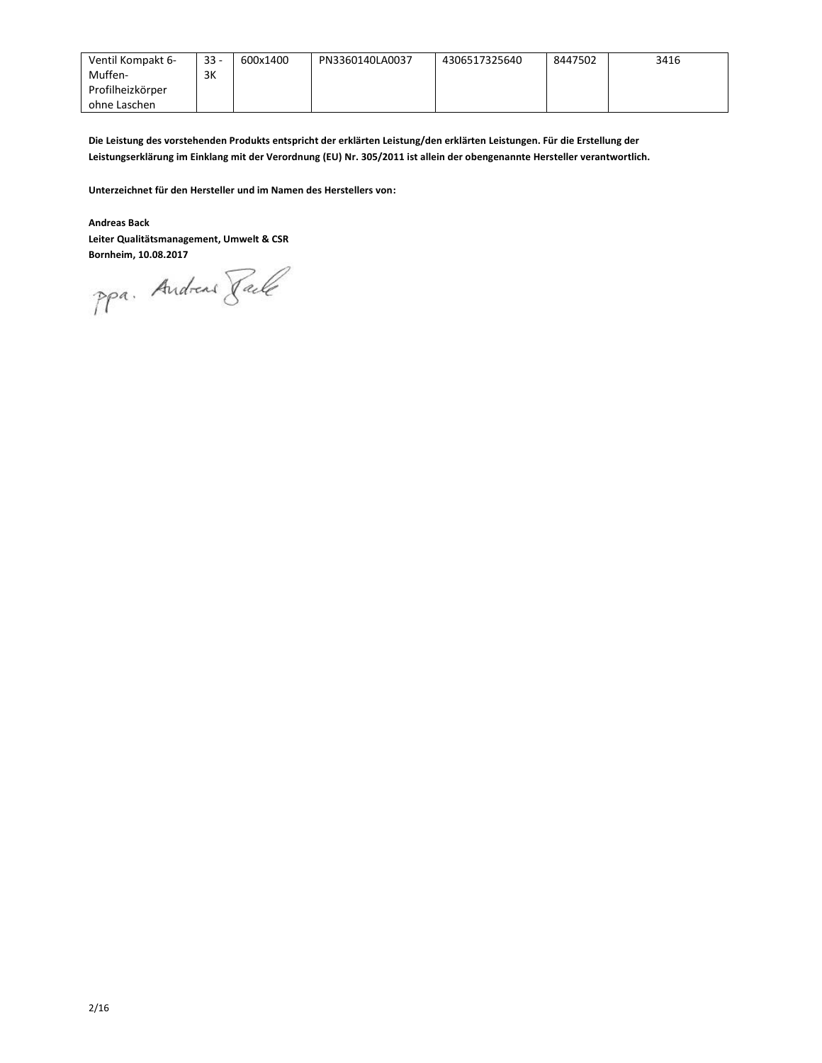| Ventil Kompakt 6- | $33 -$ | 600x1400 | PN3360140LA0037 | 4306517325640 | 8447502 | 3416 |
|-------------------|--------|----------|-----------------|---------------|---------|------|
| Muffen-           | 3K     |          |                 |               |         |      |
| Profilheizkörper  |        |          |                 |               |         |      |
| ohne Laschen      |        |          |                 |               |         |      |

**Die Leistung des vorstehenden Produkts entspricht der erklärten Leistung/den erklärten Leistungen. Für die Erstellung der Leistungserklärung im Einklang mit der Verordnung (EU) Nr. 305/2011 ist allein der obengenannte Hersteller verantwortlich.**

**Unterzeichnet für den Hersteller und im Namen des Herstellers von:**

### **Andreas Back**

**Leiter Qualitätsmanagement, Umwelt & CSR**

**Bornheim, 10.08.2017**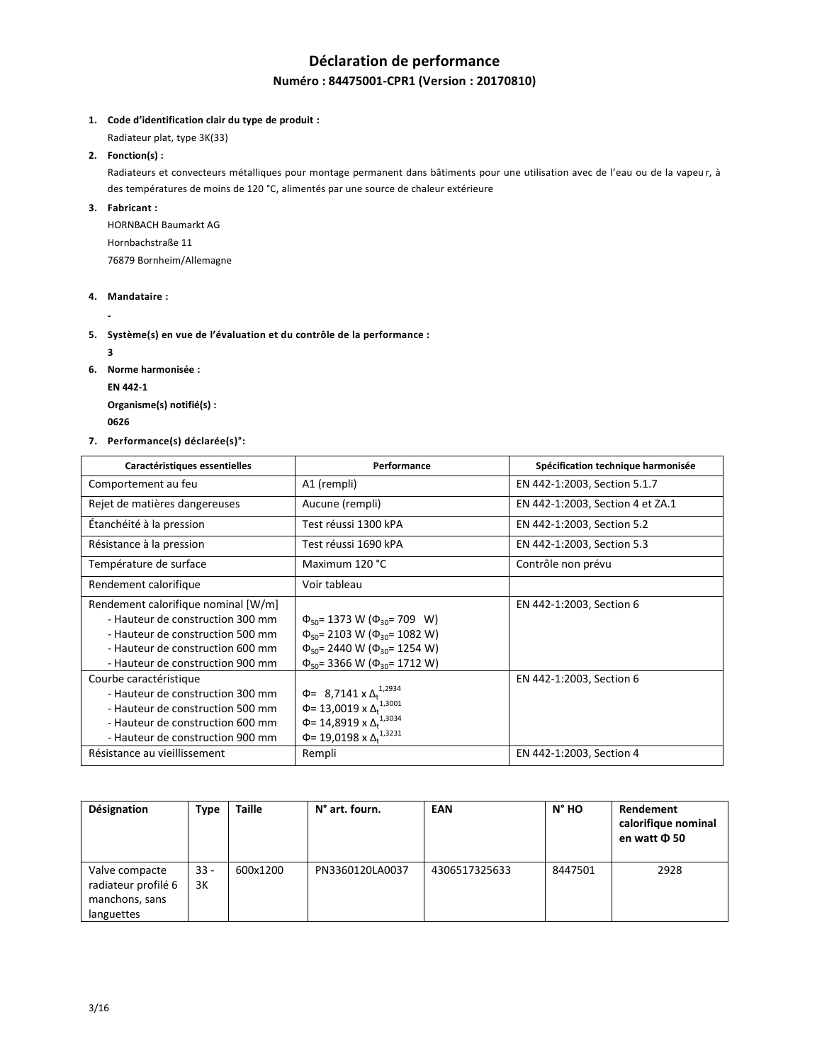# **Déclaration de performance Numéro : 84475001-CPR1 (Version : 20170810)**

**1. Code d'identification clair du type de produit :**

Radiateur plat, type 3K(33)

**2. Fonction(s) :**

Radiateurs et convecteurs métalliques pour montage permanent dans bâtiments pour une utilisation avec de l'eau ou de la vapeu r, à des températures de moins de 120 °C, alimentés par une source de chaleur extérieure

**3. Fabricant :**

HORNBACH Baumarkt AG Hornbachstraße 11 76879 Bornheim/Allemagne

**4. Mandataire :**

**-**

**5. Système(s) en vue de l'évaluation et du contrôle de la performance :**

**3**

**6. Norme harmonisée :**

**EN 442-1**

**Organisme(s) notifié(s) : <sup>0626</sup>** 

**7. Performance(s) déclarée(s)°:**

| Caractéristiques essentielles                                                                                                                                                       | Performance                                                                                                                                                                                 | Spécification technique harmonisée |
|-------------------------------------------------------------------------------------------------------------------------------------------------------------------------------------|---------------------------------------------------------------------------------------------------------------------------------------------------------------------------------------------|------------------------------------|
| Comportement au feu                                                                                                                                                                 | A1 (rempli)                                                                                                                                                                                 | EN 442-1:2003, Section 5.1.7       |
| Rejet de matières dangereuses                                                                                                                                                       | Aucune (rempli)                                                                                                                                                                             | EN 442-1:2003, Section 4 et ZA.1   |
| Étanchéité à la pression                                                                                                                                                            | Test réussi 1300 kPA                                                                                                                                                                        | EN 442-1:2003, Section 5.2         |
| Résistance à la pression                                                                                                                                                            | Test réussi 1690 kPA                                                                                                                                                                        | EN 442-1:2003, Section 5.3         |
| Température de surface                                                                                                                                                              | Maximum 120 °C                                                                                                                                                                              | Contrôle non prévu                 |
| Rendement calorifique                                                                                                                                                               | Voir tableau                                                                                                                                                                                |                                    |
| Rendement calorifique nominal [W/m]<br>- Hauteur de construction 300 mm<br>- Hauteur de construction 500 mm<br>- Hauteur de construction 600 mm<br>- Hauteur de construction 900 mm | $\Phi_{50}$ = 1373 W ( $\Phi_{30}$ = 709 W)<br>$\Phi_{50}$ = 2103 W ( $\Phi_{30}$ = 1082 W)<br>$\Phi_{50}$ = 2440 W ( $\Phi_{30}$ = 1254 W)<br>$\Phi_{50}$ = 3366 W ( $\Phi_{30}$ = 1712 W) | EN 442-1:2003, Section 6           |
| Courbe caractéristique<br>- Hauteur de construction 300 mm<br>- Hauteur de construction 500 mm<br>- Hauteur de construction 600 mm<br>- Hauteur de construction 900 mm              | $\Phi$ = 8,7141 x $\Delta_t^{1,2934}$<br>$\Phi$ = 13,0019 x $\Delta_t^{1,3001}$<br>Φ= 14,8919 x Δ <sub>t</sub> <sup>1,3034</sup><br>Φ= 19,0198 x Δ <sub>t</sub> <sup>1,3231</sup>           | EN 442-1:2003, Section 6           |
| Résistance au vieillissement                                                                                                                                                        | Rempli                                                                                                                                                                                      | EN 442-1:2003, Section 4           |

| Désignation                                                           | Type         | <b>Taille</b> | N° art. fourn.  | <b>EAN</b>    | N° HO   | Rendement<br>calorifique nominal<br>en watt Φ 50 |
|-----------------------------------------------------------------------|--------------|---------------|-----------------|---------------|---------|--------------------------------------------------|
| Valve compacte<br>radiateur profilé 6<br>manchons, sans<br>languettes | $33 -$<br>3K | 600x1200      | PN3360120LA0037 | 4306517325633 | 8447501 | 2928                                             |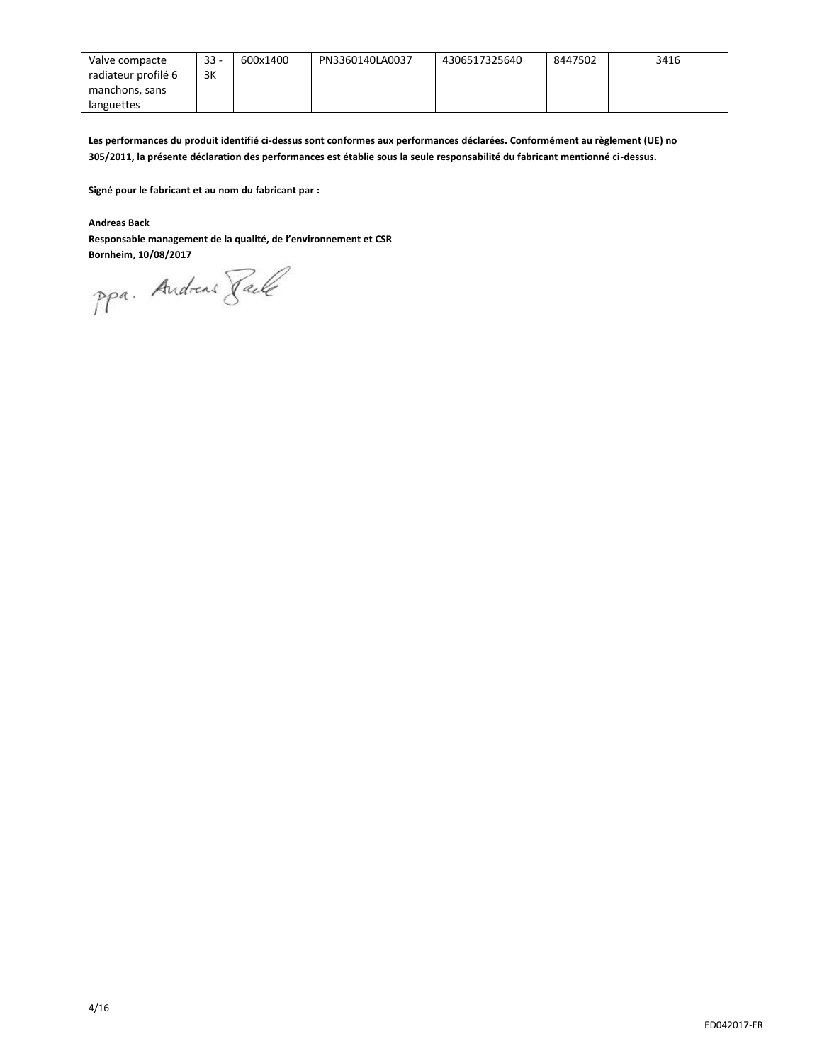| Valve compacte      | $33 -$ | 600x1400 | PN3360140LA0037 | 4306517325640 | 8447502 | 3416 |
|---------------------|--------|----------|-----------------|---------------|---------|------|
| radiateur profilé 6 | 3K     |          |                 |               |         |      |
| manchons, sans      |        |          |                 |               |         |      |
| languettes          |        |          |                 |               |         |      |

**Les performances du produit identifié ci-dessus sont conformes aux performances déclarées. Conformément au règlement (UE) no 305/2011, la présente déclaration des performances est établie sous la seule responsabilité du fabricant mentionné ci-dessus.**

**Signé pour le fabricant et au nom du fabricant par :**

**Andreas Back**

**Responsable management de la qualité, de l'environnement et CSR**

**Bornheim, 10/08/2017**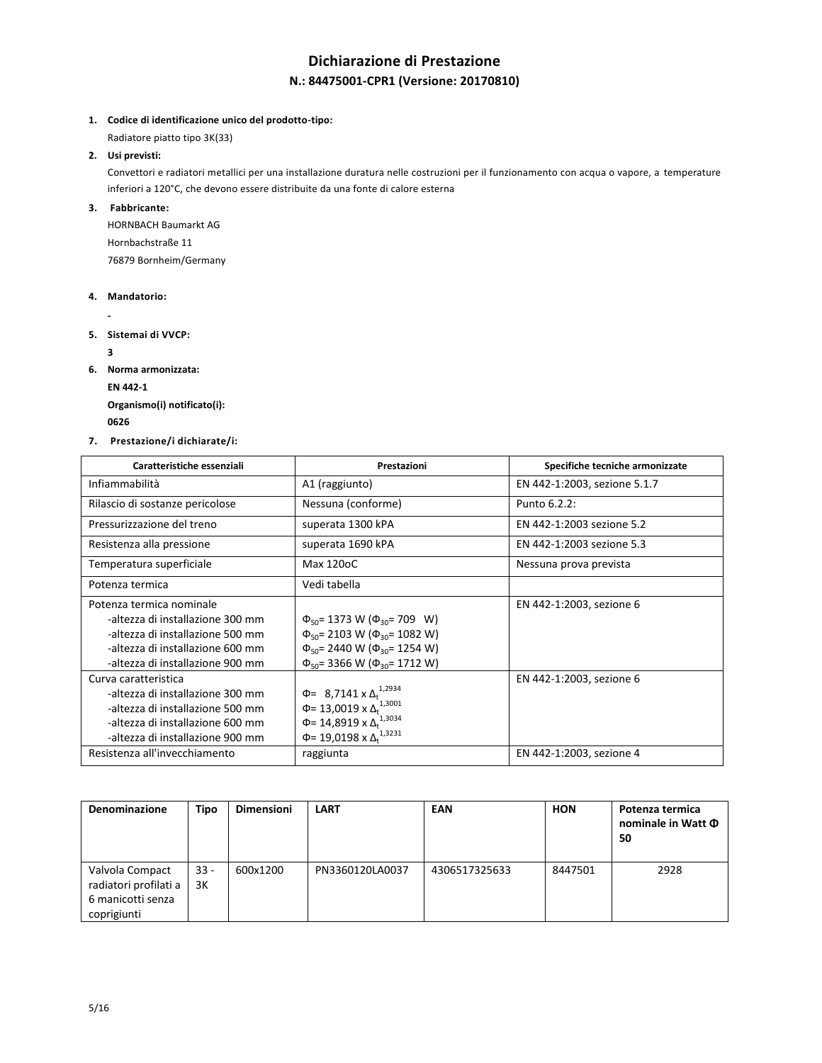# **Dichiarazione di Prestazione N.: 84475001-CPR1 (Versione: 20170810)**

**1. Codice di identificazione unico del prodotto-tipo:**

Radiatore piatto tipo 3K(33)

**2. Usi previsti:**

Convettori e radiatori metallici per una installazione duratura nelle costruzioni per il funzionamento con acqua o vapore, a temperature inferiori a 120°C, che devono essere distribuite da una fonte di calore esterna

**3. Fabbricante:**

HORNBACH Baumarkt AG Hornbachstraße 11 76879 Bornheim/Germany

**4. Mandatorio:**

**-**

**5. Sistemai di VVCP:** 

**3**

**6. Norma armonizzata:**

**EN 442-1**

**Organismo(i) notificato(i): <sup>0626</sup>** 

**7. Prestazione/i dichiarate/i:**

| Caratteristiche essenziali                                                                                                                                                                            | Prestazioni                                                                                                                                                                                 | Specifiche tecniche armonizzate                      |
|-------------------------------------------------------------------------------------------------------------------------------------------------------------------------------------------------------|---------------------------------------------------------------------------------------------------------------------------------------------------------------------------------------------|------------------------------------------------------|
| Infiammabilità                                                                                                                                                                                        | A1 (raggiunto)                                                                                                                                                                              | EN 442-1:2003, sezione 5.1.7                         |
| Rilascio di sostanze pericolose                                                                                                                                                                       | Nessuna (conforme)                                                                                                                                                                          | Punto 6.2.2:                                         |
| Pressurizzazione del treno                                                                                                                                                                            | superata 1300 kPA                                                                                                                                                                           | EN 442-1:2003 sezione 5.2                            |
| Resistenza alla pressione                                                                                                                                                                             | superata 1690 kPA                                                                                                                                                                           | EN 442-1:2003 sezione 5.3                            |
| Temperatura superficiale                                                                                                                                                                              | Max 120oC                                                                                                                                                                                   | Nessuna prova prevista                               |
| Potenza termica                                                                                                                                                                                       | Vedi tabella                                                                                                                                                                                |                                                      |
| Potenza termica nominale<br>-altezza di installazione 300 mm<br>-altezza di installazione 500 mm<br>-altezza di installazione 600 mm<br>-altezza di installazione 900 mm                              | $\Phi_{50}$ = 1373 W ( $\Phi_{30}$ = 709 W)<br>$\Phi_{50}$ = 2103 W ( $\Phi_{30}$ = 1082 W)<br>$\Phi_{50}$ = 2440 W ( $\Phi_{30}$ = 1254 W)<br>$\Phi_{50}$ = 3366 W ( $\Phi_{30}$ = 1712 W) | EN 442-1:2003, sezione 6                             |
| Curva caratteristica<br>-altezza di installazione 300 mm<br>-altezza di installazione 500 mm<br>-altezza di installazione 600 mm<br>-altezza di installazione 900 mm<br>Resistenza all'invecchiamento | $\Phi$ = 8,7141 x $\Delta_t^{1,2934}$<br>$\Phi$ = 13,0019 x $\Delta_t$ <sup>1,3001</sup><br>Φ= 14,8919 x Δ <sup>1,3034</sup><br>$\Phi$ = 19,0198 x $\Delta$ <sup>1,3231</sup><br>raggiunta  | EN 442-1:2003, sezione 6<br>EN 442-1:2003, sezione 4 |

| Denominazione         | <b>Tipo</b> | <b>Dimensioni</b> | <b>LART</b>     | EAN           | <b>HON</b> | Potenza termica<br>nominale in Watt $\Phi$<br>50 |
|-----------------------|-------------|-------------------|-----------------|---------------|------------|--------------------------------------------------|
| Valvola Compact       | $33 -$      | 600x1200          | PN3360120LA0037 | 4306517325633 | 8447501    | 2928                                             |
| radiatori profilati a | 3K          |                   |                 |               |            |                                                  |
| 6 manicotti senza     |             |                   |                 |               |            |                                                  |
| coprigiunti           |             |                   |                 |               |            |                                                  |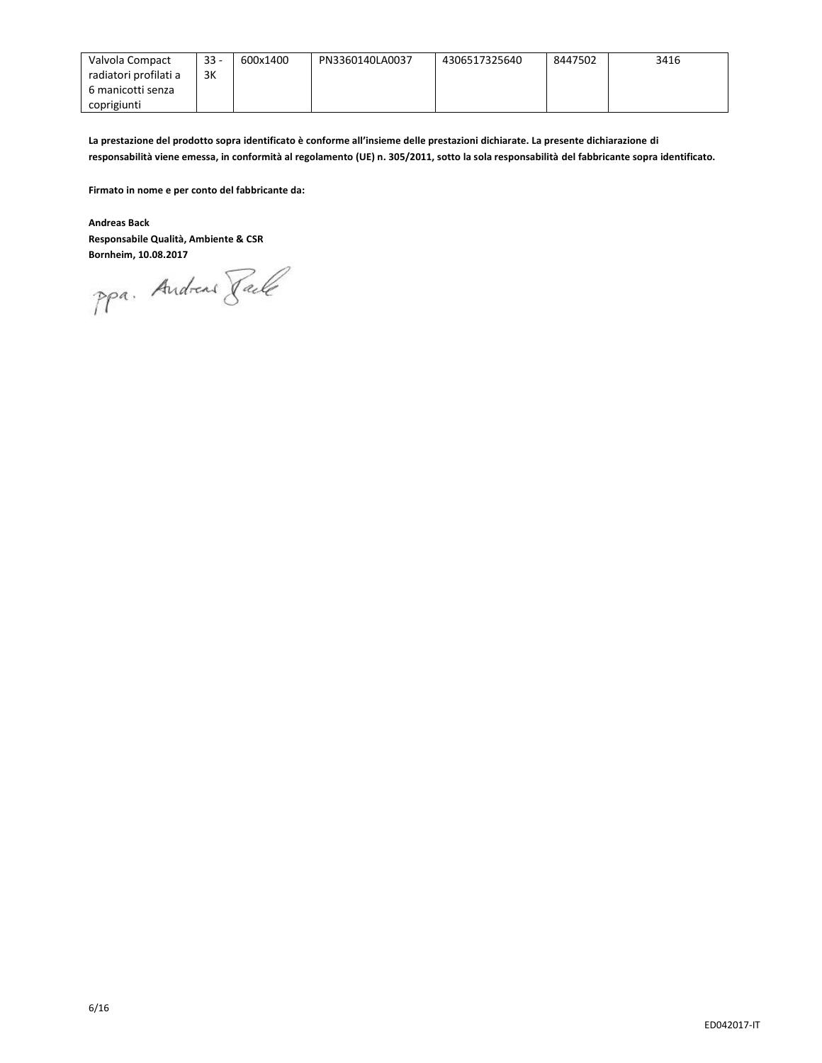| Valvola Compact       | $33 -$ | 600x1400 | PN3360140LA0037 | 4306517325640 | 8447502 | 3416 |
|-----------------------|--------|----------|-----------------|---------------|---------|------|
| radiatori profilati a | 3K     |          |                 |               |         |      |
| 6 manicotti senza     |        |          |                 |               |         |      |
| coprigiunti           |        |          |                 |               |         |      |

**La prestazione del prodotto sopra identificato è conforme all'insieme delle prestazioni dichiarate. La presente dichiarazione di responsabilità viene emessa, in conformità al regolamento (UE) n. 305/2011, sotto la sola responsabilità del fabbricante sopra identificato.**

**Firmato in nome e per conto del fabbricante da:**

**Andreas Back Responsabile Qualità, Ambiente & CSR**

**Bornheim, 10.08.2017**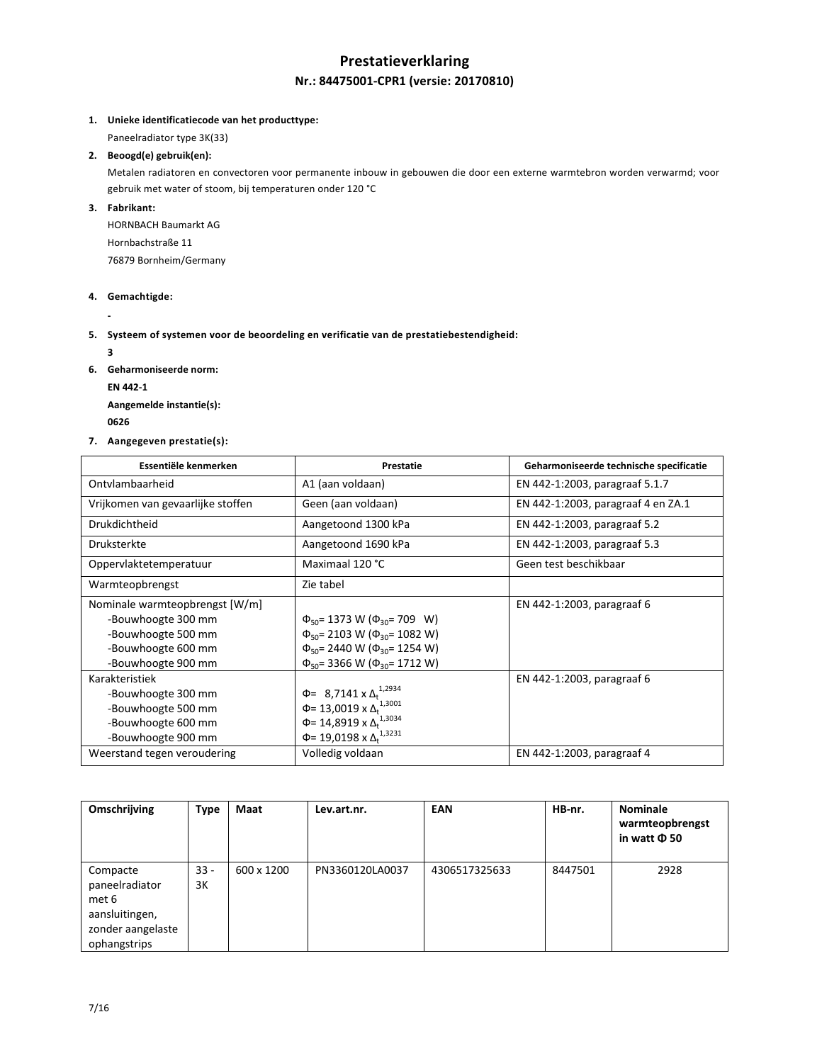# **Prestatieverklaring Nr.: 84475001-CPR1 (versie: 20170810)**

### **1. Unieke identificatiecode van het producttype:**

Paneelradiator type 3K(33)

# **2. Beoogd(e) gebruik(en):**

Metalen radiatoren en convectoren voor permanente inbouw in gebouwen die door een externe warmtebron worden verwarmd; voor gebruik met water of stoom, bij temperaturen onder 120 °C

**3. Fabrikant:**

HORNBACH Baumarkt AG Hornbachstraße 11 76879 Bornheim/Germany

### **4. Gemachtigde:**

**-**

**5. Systeem of systemen voor de beoordeling en verificatie van de prestatiebestendigheid:**

**3**

- **6. Geharmoniseerde norm:**
	- **EN 442-1**

**Aangemelde instantie(s): <sup>0626</sup>** 

**7. Aangegeven prestatie(s):**

| Essentiële kenmerken              | Prestatie                                       | Geharmoniseerde technische specificatie |
|-----------------------------------|-------------------------------------------------|-----------------------------------------|
| Ontylambaarheid                   | A1 (aan voldaan)                                | EN 442-1:2003, paragraaf 5.1.7          |
| Vrijkomen van gevaarlijke stoffen | Geen (aan voldaan)                              | EN 442-1:2003, paragraaf 4 en ZA.1      |
| Drukdichtheid                     | Aangetoond 1300 kPa                             | EN 442-1:2003, paragraaf 5.2            |
| <b>Druksterkte</b>                | Aangetoond 1690 kPa                             | EN 442-1:2003, paragraaf 5.3            |
| Oppervlaktetemperatuur            | Maximaal 120 °C                                 | Geen test beschikbaar                   |
| Warmteopbrengst                   | Zie tabel                                       |                                         |
| Nominale warmteopbrengst [W/m]    |                                                 | EN 442-1:2003, paragraaf 6              |
| -Bouwhoogte 300 mm                | $\Phi_{50}$ = 1373 W ( $\Phi_{30}$ = 709 W)     |                                         |
| -Bouwhoogte 500 mm                | $\Phi_{50}$ = 2103 W ( $\Phi_{30}$ = 1082 W)    |                                         |
| -Bouwhoogte 600 mm                | $\Phi_{50}$ = 2440 W ( $\Phi_{30}$ = 1254 W)    |                                         |
| -Bouwhoogte 900 mm                | $\Phi_{50}$ = 3366 W ( $\Phi_{30}$ = 1712 W)    |                                         |
| Karakteristiek                    |                                                 | EN 442-1:2003, paragraaf 6              |
| -Bouwhoogte 300 mm                | $\Phi$ = 8,7141 x $\Delta_t^{1,2934}$           |                                         |
| -Bouwhoogte 500 mm                | $\Phi$ = 13,0019 x $\Delta_t$ <sup>1,3001</sup> |                                         |
| -Bouwhoogte 600 mm                | Φ= 14,8919 x Δ <sub>t</sub> <sup>1,3034</sup>   |                                         |
| -Bouwhoogte 900 mm                | Φ= 19,0198 x Δ <sub>t</sub> <sup>1,3231</sup>   |                                         |
| Weerstand tegen veroudering       | Volledig voldaan                                | EN 442-1:2003, paragraaf 4              |

| Omschrijving                                                               | <b>Type</b>  | Maat       | Lev.art.nr.     | EAN           | HB-nr.  | <b>Nominale</b><br>warmteopbrengst<br>in watt <b>D</b> 50 |
|----------------------------------------------------------------------------|--------------|------------|-----------------|---------------|---------|-----------------------------------------------------------|
| Compacte<br>paneelradiator<br>met 6<br>aansluitingen,<br>zonder aangelaste | $33 -$<br>3K | 600 x 1200 | PN3360120LA0037 | 4306517325633 | 8447501 | 2928                                                      |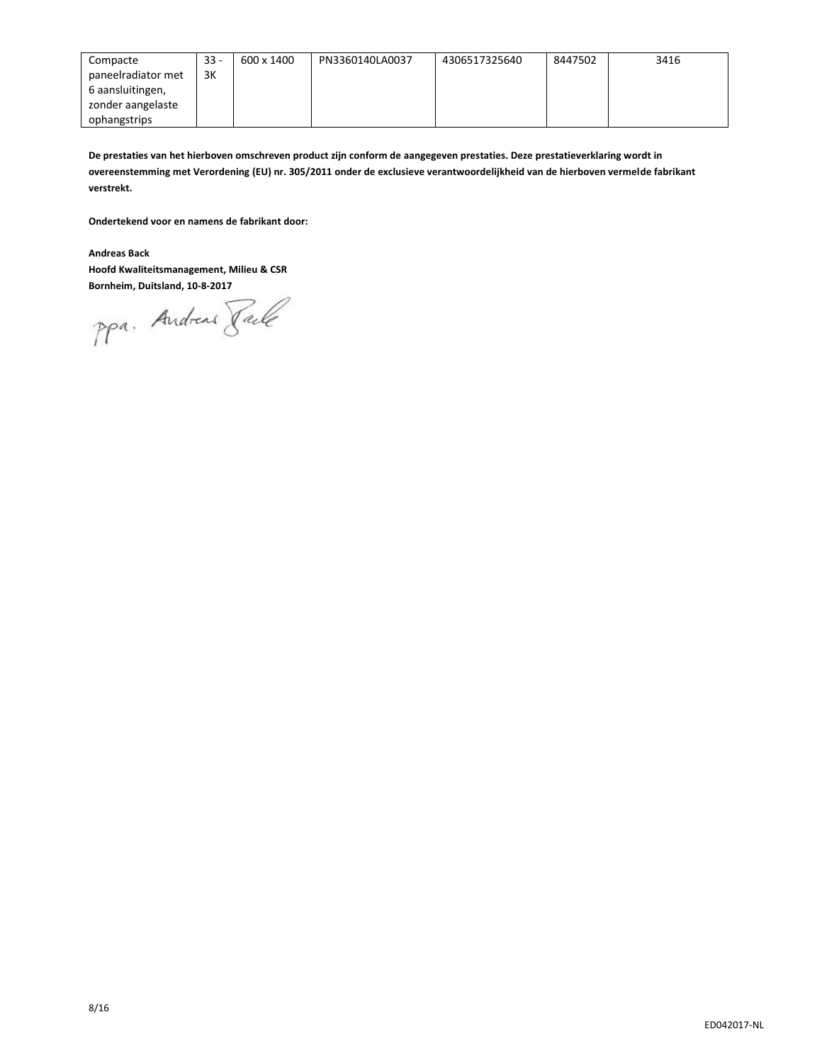| Compacte           | $33 -$ | 600 x 1400 | PN3360140LA0037 | 4306517325640 | 8447502 | 3416 |
|--------------------|--------|------------|-----------------|---------------|---------|------|
| paneelradiator met | 3K     |            |                 |               |         |      |
| 6 aansluitingen,   |        |            |                 |               |         |      |
| zonder aangelaste  |        |            |                 |               |         |      |
| ophangstrips       |        |            |                 |               |         |      |

**De prestaties van het hierboven omschreven product zijn conform de aangegeven prestaties. Deze prestatieverklaring wordt in overeenstemming met Verordening (EU) nr. 305/2011 onder de exclusieve verantwoordelijkheid van de hierboven vermelde fabrikant verstrekt.**

**Ondertekend voor en namens de fabrikant door:**

**Andreas Back**

**Hoofd Kwaliteitsmanagement, Milieu & CSR**

**Bornheim, Duitsland, 10-8-2017**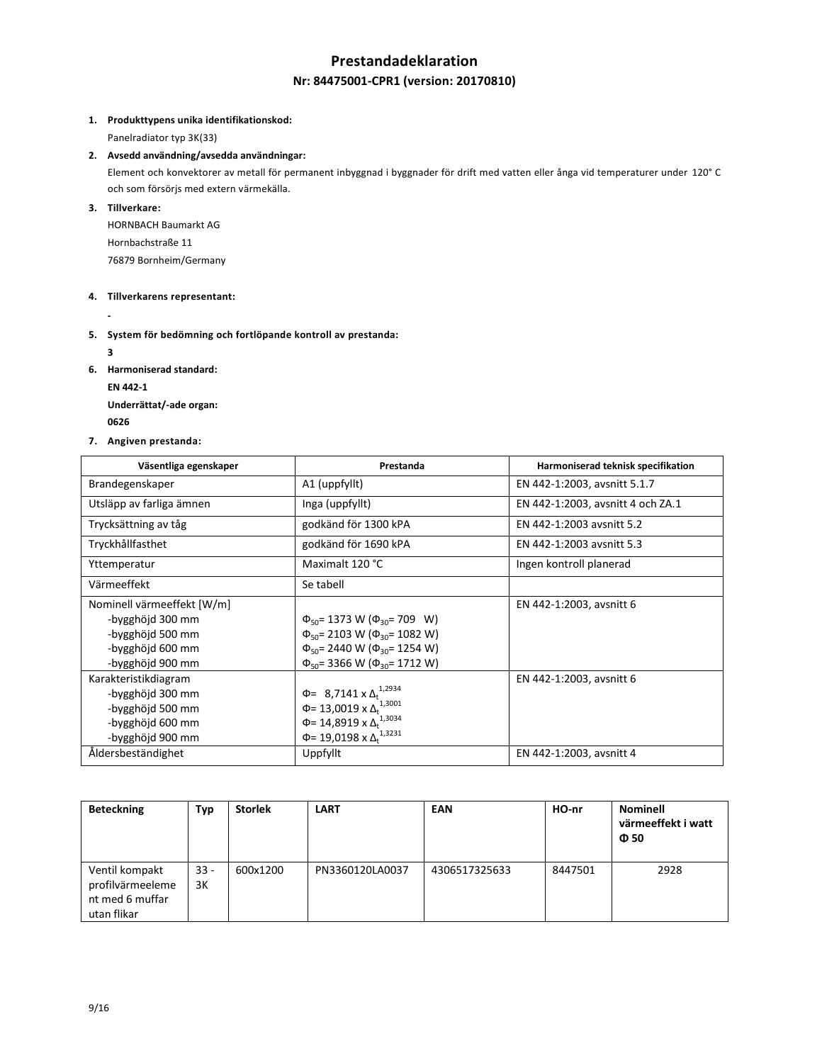# **Prestandadeklaration**

# **Nr: 84475001-CPR1 (version: 20170810)**

### **1. Produkttypens unika identifikationskod:**

Panelradiator typ 3K(33)

### **2. Avsedd användning/avsedda användningar:**

Element och konvektorer av metall för permanent inbyggnad i byggnader för drift med vatten eller ånga vid temperaturer under 120° C och som försörjs med extern värmekälla.

# **3. Tillverkare:**

HORNBACH Baumarkt AG Hornbachstraße 11 76879 Bornheim/Germany

#### **4. Tillverkarens representant:**

**-**

### **5. System för bedömning och fortlöpande kontroll av prestanda:**

**3**

- **6. Harmoniserad standard:**
	- **EN 442-1**

**Underrättat/-ade organ: <sup>0626</sup>** 

### **7. Angiven prestanda:**

| Väsentliga egenskaper                                                                                      | Prestanda                                                                                                                                                                                   | Harmoniserad teknisk specifikation |
|------------------------------------------------------------------------------------------------------------|---------------------------------------------------------------------------------------------------------------------------------------------------------------------------------------------|------------------------------------|
| Brandegenskaper                                                                                            | A1 (uppfyllt)                                                                                                                                                                               | EN 442-1:2003, avsnitt 5.1.7       |
| Utsläpp av farliga ämnen                                                                                   | Inga (uppfyllt)                                                                                                                                                                             | EN 442-1:2003, avsnitt 4 och ZA.1  |
| Trycksättning av tåg                                                                                       | godkänd för 1300 kPA                                                                                                                                                                        | EN 442-1:2003 avsnitt 5.2          |
| Tryckhållfasthet                                                                                           | godkänd för 1690 kPA                                                                                                                                                                        | EN 442-1:2003 avsnitt 5.3          |
| Yttemperatur                                                                                               | Maximalt 120 °C                                                                                                                                                                             | Ingen kontroll planerad            |
| Värmeeffekt                                                                                                | Se tabell                                                                                                                                                                                   |                                    |
| Nominell värmeeffekt [W/m]<br>-bygghöjd 300 mm<br>-bygghöjd 500 mm<br>-bygghöjd 600 mm<br>-bygghöjd 900 mm | $\Phi_{50}$ = 1373 W ( $\Phi_{30}$ = 709 W)<br>$\Phi_{50}$ = 2103 W ( $\Phi_{30}$ = 1082 W)<br>$\Phi_{50}$ = 2440 W ( $\Phi_{30}$ = 1254 W)<br>$\Phi_{50}$ = 3366 W ( $\Phi_{30}$ = 1712 W) | EN 442-1:2003, avsnitt 6           |
| Karakteristikdiagram<br>-bygghöjd 300 mm<br>-bygghöjd 500 mm<br>-bygghöjd 600 mm<br>-bygghöjd 900 mm       | $\Phi$ = 8,7141 x $\Delta_t^{1,2934}$<br>$\Phi$ = 13,0019 x $\Delta_t^{1,3001}$<br>Φ= 14,8919 x Δ <sup>1,3034</sup><br>$\Phi$ = 19,0198 x $\Delta_t$ <sup>1,3231</sup>                      | EN 442-1:2003, avsnitt 6           |
| Åldersbeständighet                                                                                         | Uppfyllt                                                                                                                                                                                    | EN 442-1:2003, avsnitt 4           |

| <b>Beteckning</b>                                                    | Тур          | <b>Storlek</b> | <b>LART</b>     | <b>EAN</b>    | HO-nr   | <b>Nominell</b><br>värmeeffekt i watt<br>$\Phi$ 50 |
|----------------------------------------------------------------------|--------------|----------------|-----------------|---------------|---------|----------------------------------------------------|
| Ventil kompakt<br>profilvärmeeleme<br>nt med 6 muffar<br>utan flikar | $33 -$<br>3K | 600x1200       | PN3360120LA0037 | 4306517325633 | 8447501 | 2928                                               |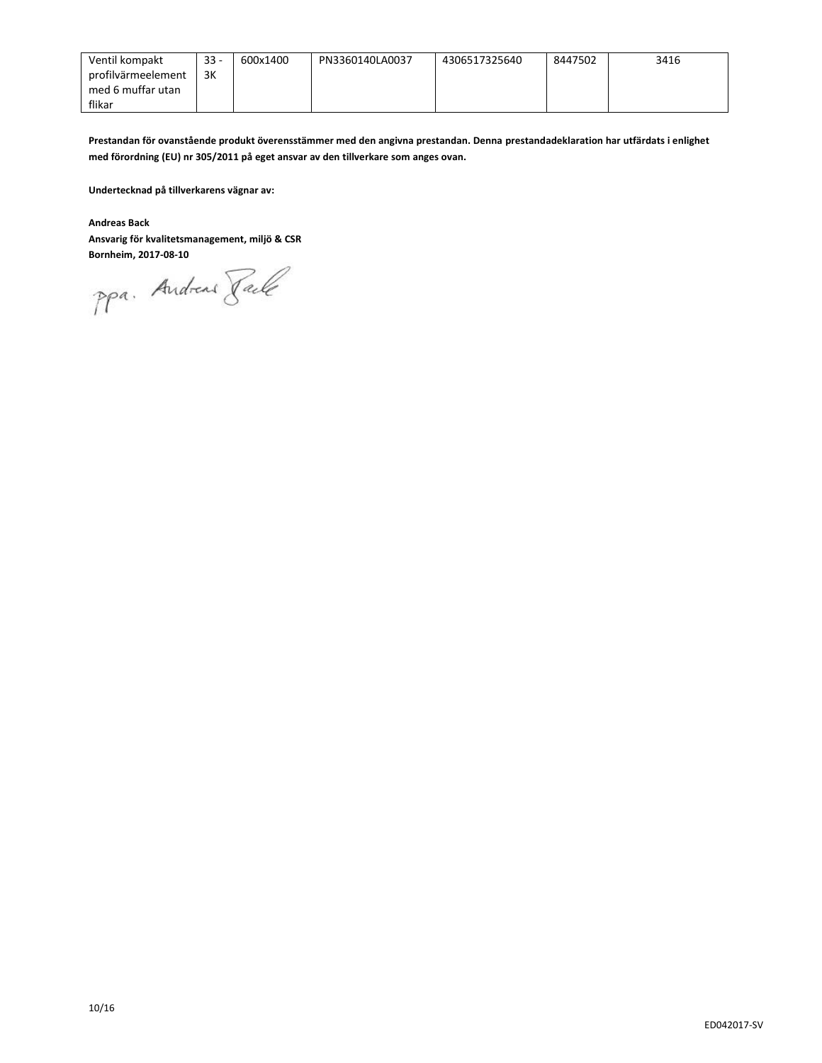| Ventil kompakt     | $33 -$ | 600x1400 | PN3360140LA0037 | 4306517325640 | 8447502 | 3416 |
|--------------------|--------|----------|-----------------|---------------|---------|------|
| profilvärmeelement | 3K     |          |                 |               |         |      |
| med 6 muffar utan  |        |          |                 |               |         |      |
| flikar             |        |          |                 |               |         |      |

**Prestandan för ovanstående produkt överensstämmer med den angivna prestandan. Denna prestandadeklaration har utfärdats i enlighet med förordning (EU) nr 305/2011 på eget ansvar av den tillverkare som anges ovan.**

**Undertecknad på tillverkarens vägnar av:**

**Andreas Back**

# **Ansvarig för kvalitetsmanagement, miljö & CSR**

**Bornheim, 2017-08-10**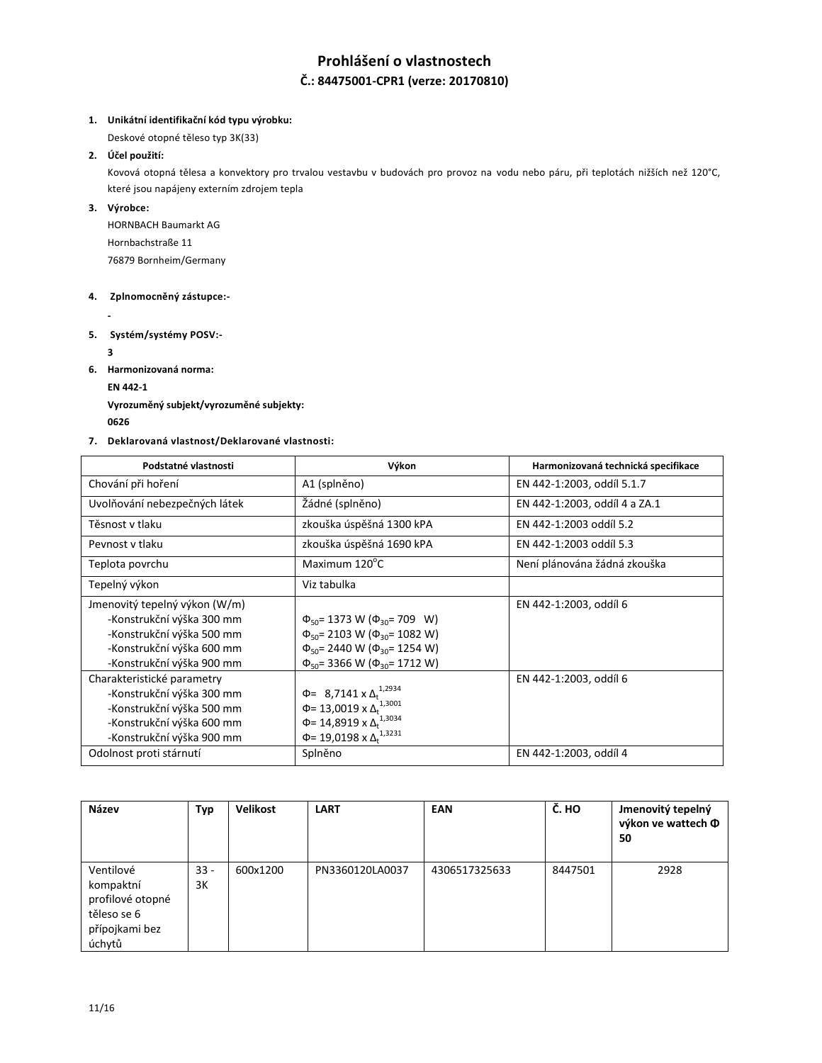# **Prohlášení o vlastnostech Č.: 84475001-CPR1 (verze: 20170810)**

### **1. Unikátní identifikační kód typu výrobku:**

Deskové otopné těleso typ 3K(33)

## **2. Účel použití:**

Kovová otopná tělesa a konvektory pro trvalou vestavbu v budovách pro provoz na vodu nebo páru, při teplotách nižších než 120°C, které jsou napájeny externím zdrojem tepla

# **3. Výrobce:**

HORNBACH Baumarkt AG Hornbachstraße 11 76879 Bornheim/Germany

# **4. Zplnomocněný zástupce:-**

**-**

**5. Systém/systémy POSV:-**

**3**

**6. Harmonizovaná norma:**

**EN 442-1**

**Vyrozuměný subjekt/vyrozuměné subjekty:**

**<sup>0626</sup>** 

## **7. Deklarovaná vlastnost/Deklarované vlastnosti:**

| Podstatné vlastnosti                                                                                                                              | Výkon                                                                                                                                                                                       | Harmonizovaná technická specifikace |
|---------------------------------------------------------------------------------------------------------------------------------------------------|---------------------------------------------------------------------------------------------------------------------------------------------------------------------------------------------|-------------------------------------|
| Chování při hoření                                                                                                                                | A1 (splněno)                                                                                                                                                                                | EN 442-1:2003, oddíl 5.1.7          |
| Uvolňování nebezpečných látek                                                                                                                     | Žádné (splněno)                                                                                                                                                                             | EN 442-1:2003, oddíl 4 a ZA.1       |
| Těsnost v tlaku                                                                                                                                   | zkouška úspěšná 1300 kPA                                                                                                                                                                    | EN 442-1:2003 oddíl 5.2             |
| Peynost y tlaku                                                                                                                                   | zkouška úspěšná 1690 kPA                                                                                                                                                                    | EN 442-1:2003 oddíl 5.3             |
| Teplota povrchu                                                                                                                                   | Maximum 120°C                                                                                                                                                                               | Není plánována žádná zkouška        |
| Tepelný výkon                                                                                                                                     | Viz tabulka                                                                                                                                                                                 |                                     |
| Jmenovitý tepelný výkon (W/m)<br>-Konstrukční výška 300 mm<br>-Konstrukční výška 500 mm<br>-Konstrukční výška 600 mm<br>-Konstrukční výška 900 mm | $\Phi_{50}$ = 1373 W ( $\Phi_{30}$ = 709 W)<br>$\Phi_{50}$ = 2103 W ( $\Phi_{30}$ = 1082 W)<br>$\Phi_{50}$ = 2440 W ( $\Phi_{30}$ = 1254 W)<br>$\Phi_{50}$ = 3366 W ( $\Phi_{30}$ = 1712 W) | EN 442-1:2003, oddíl 6              |
| Charakteristické parametry<br>-Konstrukční výška 300 mm<br>-Konstrukční výška 500 mm<br>-Konstrukční výška 600 mm<br>-Konstrukční výška 900 mm    | $\Phi$ = 8,7141 x $\Delta_t^{1,2934}$<br>$\Phi$ = 13,0019 x $\Delta_t$ <sup>1,3001</sup><br>Φ= 14,8919 x Δ <sup>1,3034</sup><br>Φ= 19,0198 x Δ <sub>t</sub> <sup>1,3231</sup>               | EN 442-1:2003, oddíl 6              |
| Odolnost proti stárnutí                                                                                                                           | Splněno                                                                                                                                                                                     | EN 442-1:2003, oddíl 4              |

| Název            | Тур    | <b>Velikost</b> | <b>LART</b>     | <b>EAN</b>    | Č. HO   | Jmenovitý tepelný<br>výkon ve wattech Ф<br>50 |
|------------------|--------|-----------------|-----------------|---------------|---------|-----------------------------------------------|
| Ventilové        | $33 -$ | 600x1200        | PN3360120LA0037 | 4306517325633 | 8447501 | 2928                                          |
| kompaktní        | 3K     |                 |                 |               |         |                                               |
| profilové otopné |        |                 |                 |               |         |                                               |
| těleso se 6      |        |                 |                 |               |         |                                               |
| přípojkami bez   |        |                 |                 |               |         |                                               |
| úchytů           |        |                 |                 |               |         |                                               |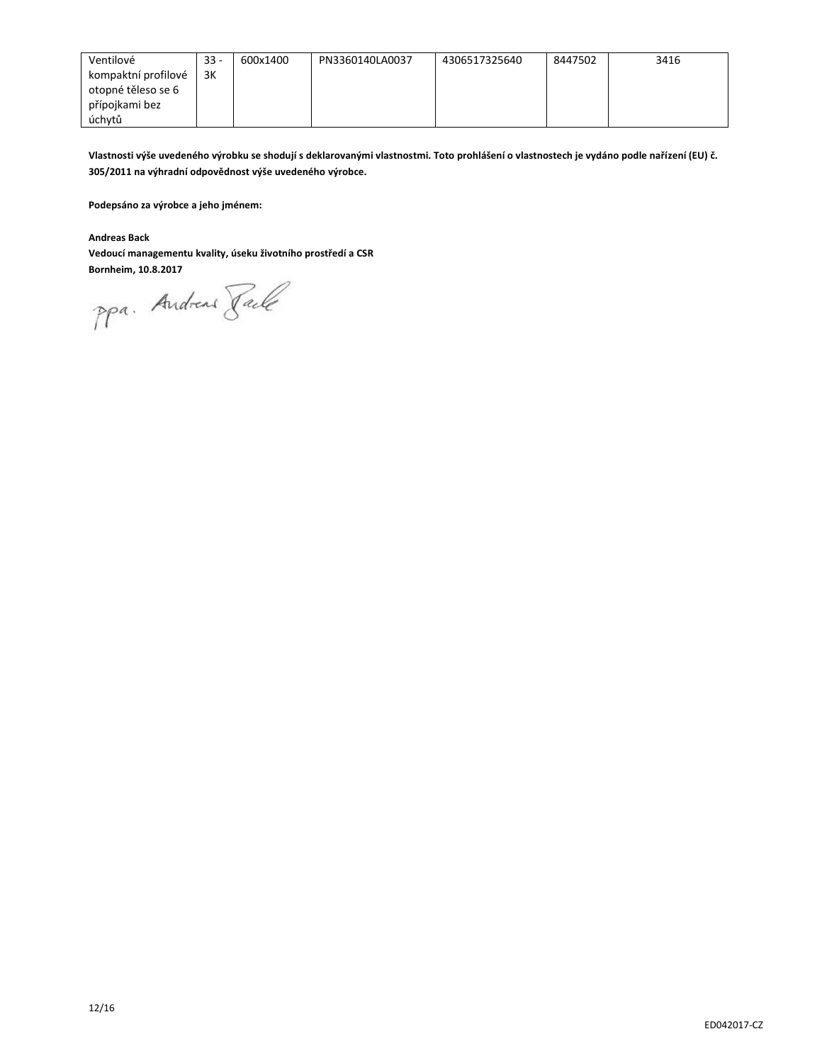| Ventilové           | $33 -$ | 600x1400 | PN3360140LA0037 | 4306517325640 | 8447502 | 3416 |
|---------------------|--------|----------|-----------------|---------------|---------|------|
| kompaktní profilové | 3K     |          |                 |               |         |      |
| otopné těleso se 6  |        |          |                 |               |         |      |
| přípojkami bez      |        |          |                 |               |         |      |
| úchytů              |        |          |                 |               |         |      |

**Vlastnosti výše uvedeného výrobku se shodují s deklarovanými vlastnostmi. Toto prohlášení o vlastnostech je vydáno podle nařízení (EU) č. 305/2011 na výhradní odpovědnost výše uvedeného výrobce.**

**Podepsáno za výrobce a jeho jménem:**

**Andreas Back**

**Vedoucí managementu kvality, úseku životního prostředí a CSR**

**Bornheim, 10.8.2017**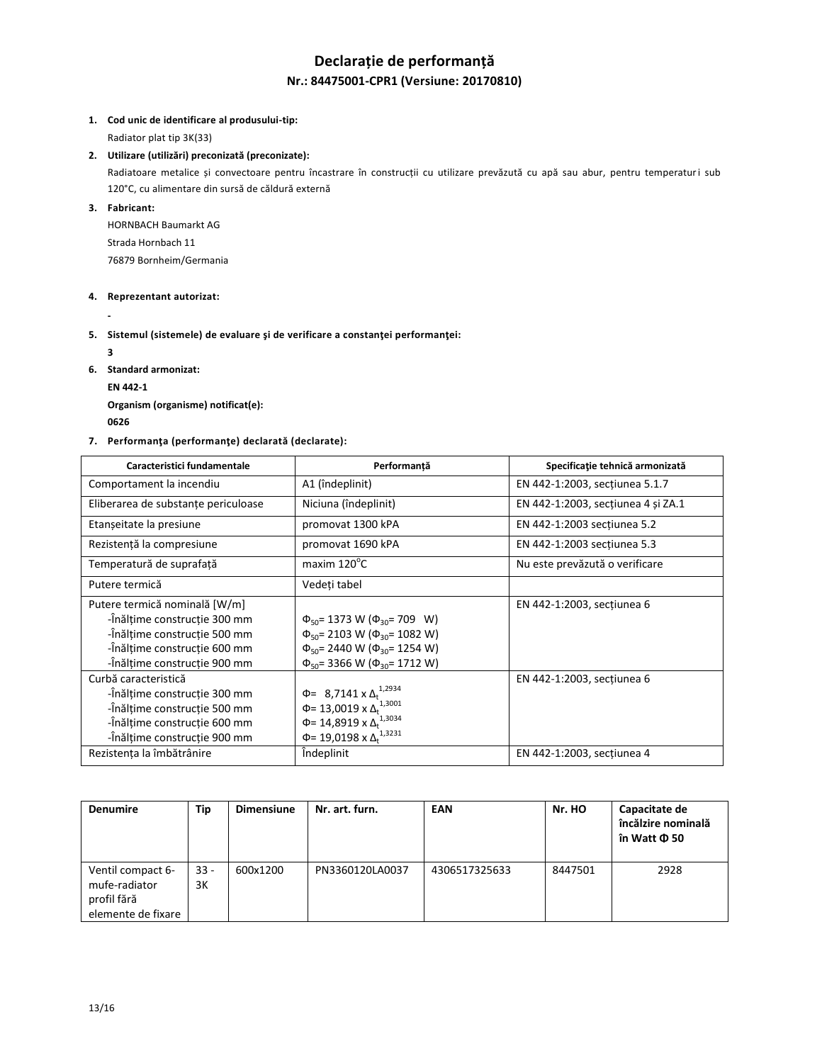# **Declarație de performanță Nr.: 84475001-CPR1 (Versiune: 20170810)**

### **1. Cod unic de identificare al produsului-tip:**

Radiator plat tip 3K(33)

### **2. Utilizare (utilizări) preconizată (preconizate):**

Radiatoare metalice și convectoare pentru încastrare în construcții cu utilizare prevăzută cu apă sau abur, pentru temperaturi sub 120°C, cu alimentare din sursă de căldură externă

# **3. Fabricant:**

HORNBACH Baumarkt AG Strada Hornbach 11 76879 Bornheim/Germania

### **4. Reprezentant autorizat:**

**-**

## **5. Sistemul (sistemele) de evaluare şi de verificare a constanţei performanţei:**

**3**

- **6. Standard armonizat:**
	- **EN 442-1**

**Organism (organisme) notificat(e):**

**<sup>0626</sup>** 

## **7. Performanţa (performanţe) declarată (declarate):**

| Caracteristici fundamentale                                                                                                                                   | Performantă                                                                                                                                                                                 | Specificație tehnică armonizată    |
|---------------------------------------------------------------------------------------------------------------------------------------------------------------|---------------------------------------------------------------------------------------------------------------------------------------------------------------------------------------------|------------------------------------|
| Comportament la incendiu                                                                                                                                      | A1 (îndeplinit)                                                                                                                                                                             | EN 442-1:2003, secțiunea 5.1.7     |
| Eliberarea de substanțe periculoase                                                                                                                           | Niciuna (îndeplinit)                                                                                                                                                                        | EN 442-1:2003, secțiunea 4 și ZA.1 |
| Etanșeitate la presiune                                                                                                                                       | promovat 1300 kPA                                                                                                                                                                           | EN 442-1:2003 sectiunea 5.2        |
| Rezistență la compresiune                                                                                                                                     | promovat 1690 kPA                                                                                                                                                                           | EN 442-1:2003 sectiunea 5.3        |
| Temperatură de suprafață                                                                                                                                      | maxim $120^{\circ}$ C                                                                                                                                                                       | Nu este prevăzută o verificare     |
| Putere termică                                                                                                                                                | Vedeți tabel                                                                                                                                                                                |                                    |
| Putere termică nominală [W/m]<br>-înălțime construcție 300 mm<br>-înălțime construcție 500 mm<br>-înălțime construcție 600 mm<br>-înălțime construcție 900 mm | $\Phi_{50}$ = 1373 W ( $\Phi_{30}$ = 709 W)<br>$\Phi_{50}$ = 2103 W ( $\Phi_{30}$ = 1082 W)<br>$\Phi_{50}$ = 2440 W ( $\Phi_{30}$ = 1254 W)<br>$\Phi_{50}$ = 3366 W ( $\Phi_{30}$ = 1712 W) | EN 442-1:2003, sectiunea 6         |
| Curbă caracteristică<br>-înălțime construcție 300 mm<br>-înălțime construcție 500 mm<br>-înălțime construcție 600 mm<br>-înălțime construcție 900 mm          | $\Phi$ = 8,7141 x $\Delta_t^{1,2934}$<br>$\Phi$ = 13,0019 x $\Delta_t$ <sup>1,3001</sup><br>Φ= 14,8919 x Δ <sup>1,3034</sup><br>Φ= 19,0198 x Δ <sub>t</sub> <sup>1,3231</sup>               | EN 442-1:2003, secțiunea 6         |
| Rezistența la îmbătrânire                                                                                                                                     | <i><u><b>Indeplinit</b></u></i>                                                                                                                                                             | EN 442-1:2003, secțiunea 4         |

| <b>Denumire</b>                                                         | Tip          | <b>Dimensiune</b> | Nr. art. furn.  | EAN           | Nr. HO  | Capacitate de<br>încălzire nominală<br>în Watt Φ 50 |
|-------------------------------------------------------------------------|--------------|-------------------|-----------------|---------------|---------|-----------------------------------------------------|
| Ventil compact 6-<br>mufe-radiator<br>profil fără<br>elemente de fixare | $33 -$<br>3K | 600x1200          | PN3360120LA0037 | 4306517325633 | 8447501 | 2928                                                |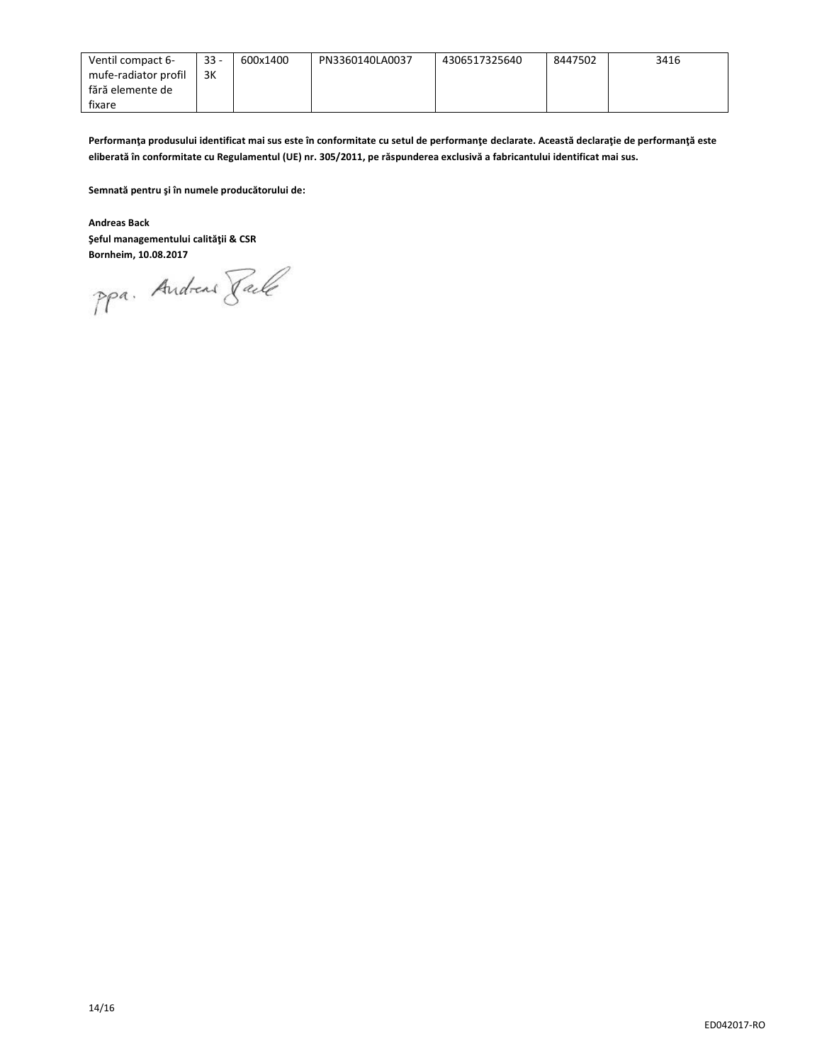| Ventil compact 6-    | $33 -$ | 600x1400 | PN3360140LA0037 | 4306517325640 | 8447502 | 3416 |
|----------------------|--------|----------|-----------------|---------------|---------|------|
| mufe-radiator profil | 3K     |          |                 |               |         |      |
| fără elemente de     |        |          |                 |               |         |      |
| fixare               |        |          |                 |               |         |      |

**Performanţa produsului identificat mai sus este în conformitate cu setul de performanţe declarate. Această declaraţie de performanţă este eliberată în conformitate cu Regulamentul (UE) nr. 305/2011, pe răspunderea exclusivă a fabricantului identificat mai sus.**

**Semnată pentru şi în numele producătorului de:**

**Andreas Back Şeful managementului calităţii & CSR**

**Bornheim, 10.08.2017**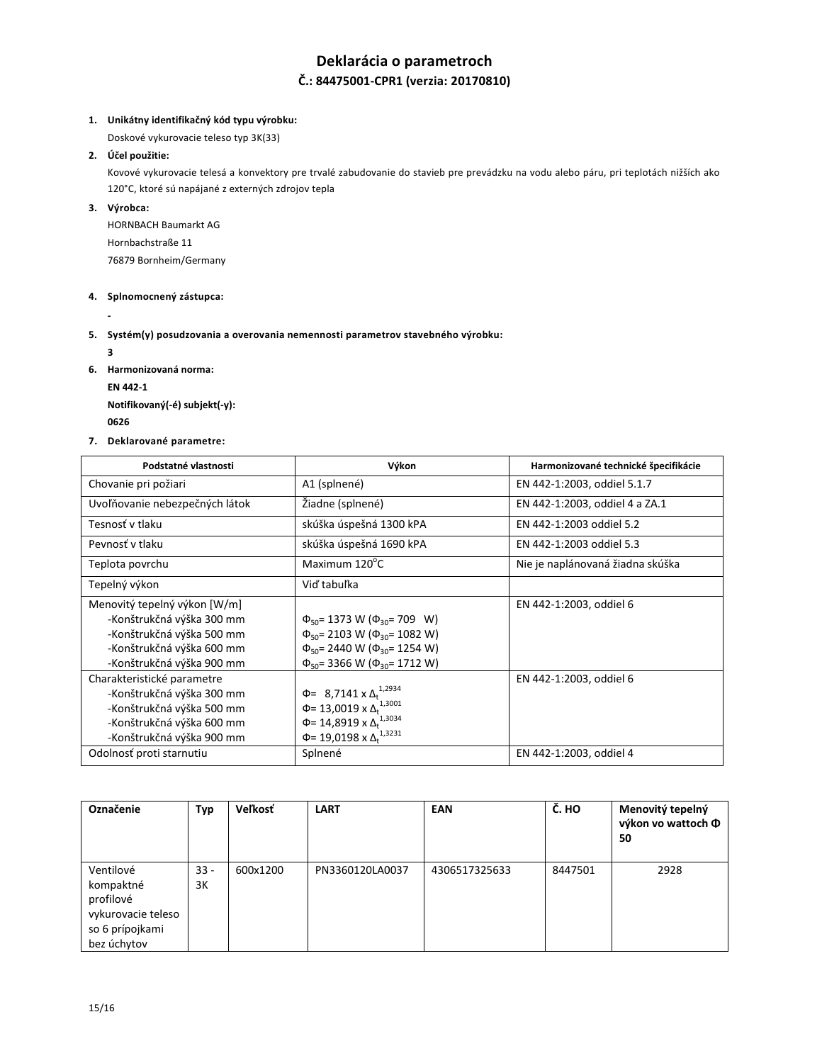# **Deklarácia o parametroch Č.: 84475001-CPR1 (verzia: 20170810)**

### **1. Unikátny identifikačný kód typu výrobku:**

Doskové vykurovacie teleso typ 3K(33)

# **2. Účel použitie:**

Kovové vykurovacie telesá a konvektory pre trvalé zabudovanie do stavieb pre prevádzku na vodu alebo páru, pri teplotách nižších ako 120°C, ktoré sú napájané z externých zdrojov tepla

**3. Výrobca:**

HORNBACH Baumarkt AG Hornbachstraße 11 76879 Bornheim/Germany

### **4. Splnomocnený zástupca:**

**-**

**5. Systém(y) posudzovania a overovania nemennosti parametrov stavebného výrobku:**

**3**

**6. Harmonizovaná norma:**

**EN 442-1**

**Notifikovaný(-é) subjekt(-y): <sup>0626</sup>** 

**7. Deklarované parametre:**

| Podstatné vlastnosti                                                                                                                             | Výkon                                                                                                                                                                                       | Harmonizované technické špecifikácie |
|--------------------------------------------------------------------------------------------------------------------------------------------------|---------------------------------------------------------------------------------------------------------------------------------------------------------------------------------------------|--------------------------------------|
| Chovanie pri požiari                                                                                                                             | A1 (splnené)                                                                                                                                                                                | EN 442-1:2003, oddiel 5.1.7          |
| Uvoľňovanie nebezpečných látok                                                                                                                   | Žiadne (splnené)                                                                                                                                                                            | EN 442-1:2003, oddiel 4 a ZA.1       |
| Tesnosť v tlaku                                                                                                                                  | skúška úspešná 1300 kPA                                                                                                                                                                     | EN 442-1:2003 oddiel 5.2             |
| Peynosť v tlaku                                                                                                                                  | skúška úspešná 1690 kPA                                                                                                                                                                     | EN 442-1:2003 oddiel 5.3             |
| Teplota povrchu                                                                                                                                  | Maximum 120°C                                                                                                                                                                               | Nie je naplánovaná žiadna skúška     |
| Tepelný výkon                                                                                                                                    | Viď tabuľka                                                                                                                                                                                 |                                      |
| Menovitý tepelný výkon [W/m]<br>-Konštrukčná výška 300 mm<br>-Konštrukčná výška 500 mm<br>-Konštrukčná výška 600 mm<br>-Konštrukčná výška 900 mm | $\Phi_{50}$ = 1373 W ( $\Phi_{30}$ = 709 W)<br>$\Phi_{50}$ = 2103 W ( $\Phi_{30}$ = 1082 W)<br>$\Phi_{50}$ = 2440 W ( $\Phi_{30}$ = 1254 W)<br>$\Phi_{50}$ = 3366 W ( $\Phi_{30}$ = 1712 W) | EN 442-1:2003, oddiel 6              |
| Charakteristické parametre<br>-Konštrukčná výška 300 mm<br>-Konštrukčná výška 500 mm<br>-Konštrukčná výška 600 mm<br>-Konštrukčná výška 900 mm   | $\Phi$ = 8,7141 x $\Delta_t^{1,2934}$<br>$\Phi$ = 13,0019 x $\Delta_t^{1,3001}$<br>Φ= 14,8919 x Δ <sub>t</sub> <sup>1,3034</sup><br>Φ= 19,0198 x Δ <sub>t</sub> <sup>1,3231</sup>           | EN 442-1:2003, oddiel 6              |
| Odolnosť proti starnutiu                                                                                                                         | Splnené                                                                                                                                                                                     | EN 442-1:2003, oddiel 4              |

| Označenie          | Typ    | <b>Veľkosť</b> | <b>LART</b>     | EAN           | $\overline{C}$ . HO | Menovitý tepelný<br>výkon vo wattoch Ф<br>50 |
|--------------------|--------|----------------|-----------------|---------------|---------------------|----------------------------------------------|
| Ventilové          | $33 -$ | 600x1200       | PN3360120LA0037 | 4306517325633 | 8447501             | 2928                                         |
| kompaktné          | 3K     |                |                 |               |                     |                                              |
| profilové          |        |                |                 |               |                     |                                              |
| vykurovacie teleso |        |                |                 |               |                     |                                              |
| so 6 prípojkami    |        |                |                 |               |                     |                                              |
| bez úchytov        |        |                |                 |               |                     |                                              |